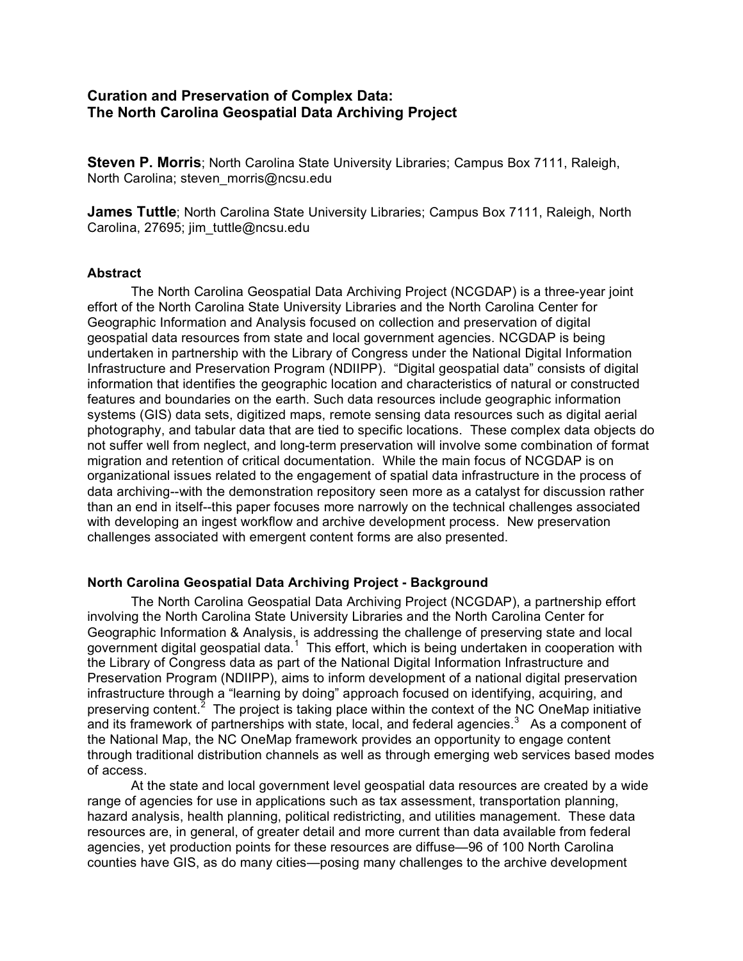# **Curation and Preservation of Complex Data: The North Carolina Geospatial Data Archiving Project**

**Steven P. Morris**; North Carolina State University Libraries; Campus Box 7111, Raleigh, North Carolina; steven\_morris@ncsu.edu

**James Tuttle**; North Carolina State University Libraries; Campus Box 7111, Raleigh, North Carolina, 27695; jim\_tuttle@ncsu.edu

#### **Abstract**

The North Carolina Geospatial Data Archiving Project (NCGDAP) is a three-year joint effort of the North Carolina State University Libraries and the North Carolina Center for Geographic Information and Analysis focused on collection and preservation of digital geospatial data resources from state and local government agencies. NCGDAP is being undertaken in partnership with the Library of Congress under the National Digital Information Infrastructure and Preservation Program (NDIIPP). "Digital geospatial data" consists of digital information that identifies the geographic location and characteristics of natural or constructed features and boundaries on the earth. Such data resources include geographic information systems (GIS) data sets, digitized maps, remote sensing data resources such as digital aerial photography, and tabular data that are tied to specific locations. These complex data objects do not suffer well from neglect, and long-term preservation will involve some combination of format migration and retention of critical documentation. While the main focus of NCGDAP is on organizational issues related to the engagement of spatial data infrastructure in the process of data archiving--with the demonstration repository seen more as a catalyst for discussion rather than an end in itself--this paper focuses more narrowly on the technical challenges associated with developing an ingest workflow and archive development process. New preservation challenges associated with emergent content forms are also presented.

#### **North Carolina Geospatial Data Archiving Project - Background**

The North Carolina Geospatial Data Archiving Project (NCGDAP), a partnership effort involving the North Carolina State University Libraries and the North Carolina Center for Geographic Information & Analysis, is addressing the challenge of preserving state and local government digital geospatial data.<sup>1</sup> This effort, which is being undertaken in cooperation with the Library of Congress data as part of the National Digital Information Infrastructure and Preservation Program (NDIIPP), aims to inform development of a national digital preservation infrastructure through a "learning by doing" approach focused on identifying, acquiring, and preserving content.<sup>2</sup> The project is taking place within the context of the NC OneMap initiative and its framework of partnerships with state, local, and federal agencies.<sup>3</sup> As a component of the National Map, the NC OneMap framework provides an opportunity to engage content through traditional distribution channels as well as through emerging web services based modes of access.

At the state and local government level geospatial data resources are created by a wide range of agencies for use in applications such as tax assessment, transportation planning, hazard analysis, health planning, political redistricting, and utilities management. These data resources are, in general, of greater detail and more current than data available from federal agencies, yet production points for these resources are diffuse—96 of 100 North Carolina counties have GIS, as do many cities—posing many challenges to the archive development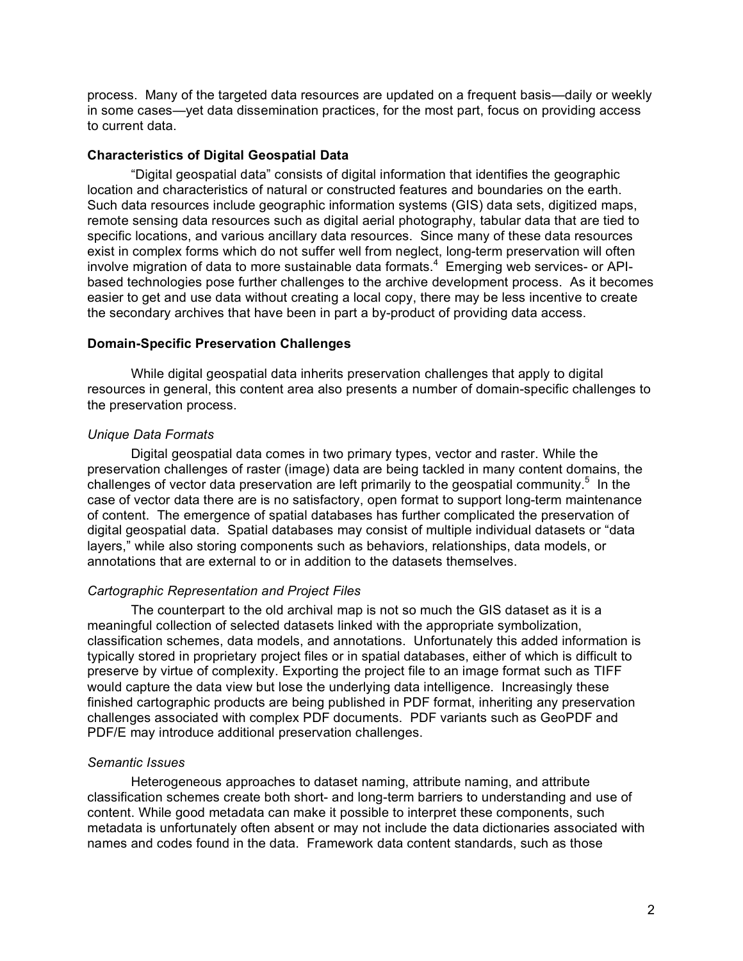process. Many of the targeted data resources are updated on a frequent basis—daily or weekly in some cases—yet data dissemination practices, for the most part, focus on providing access to current data.

### **Characteristics of Digital Geospatial Data**

"Digital geospatial data" consists of digital information that identifies the geographic location and characteristics of natural or constructed features and boundaries on the earth. Such data resources include geographic information systems (GIS) data sets, digitized maps, remote sensing data resources such as digital aerial photography, tabular data that are tied to specific locations, and various ancillary data resources. Since many of these data resources exist in complex forms which do not suffer well from neglect, long-term preservation will often involve migration of data to more sustainable data formats. <sup>4</sup> Emerging web services- or APIbased technologies pose further challenges to the archive development process. As it becomes easier to get and use data without creating a local copy, there may be less incentive to create the secondary archives that have been in part a by-product of providing data access.

### **Domain-Specific Preservation Challenges**

While digital geospatial data inherits preservation challenges that apply to digital resources in general, this content area also presents a number of domain-specific challenges to the preservation process.

#### *Unique Data Formats*

Digital geospatial data comes in two primary types, vector and raster. While the preservation challenges of raster (image) data are being tackled in many content domains, the challenges of vector data preservation are left primarily to the geospatial community.<sup>5</sup> In the case of vector data there are is no satisfactory, open format to support long-term maintenance of content. The emergence of spatial databases has further complicated the preservation of digital geospatial data. Spatial databases may consist of multiple individual datasets or "data layers," while also storing components such as behaviors, relationships, data models, or annotations that are external to or in addition to the datasets themselves.

#### *Cartographic Representation and Project Files*

The counterpart to the old archival map is not so much the GIS dataset as it is a meaningful collection of selected datasets linked with the appropriate symbolization, classification schemes, data models, and annotations. Unfortunately this added information is typically stored in proprietary project files or in spatial databases, either of which is difficult to preserve by virtue of complexity. Exporting the project file to an image format such as TIFF would capture the data view but lose the underlying data intelligence. Increasingly these finished cartographic products are being published in PDF format, inheriting any preservation challenges associated with complex PDF documents. PDF variants such as GeoPDF and PDF/E may introduce additional preservation challenges.

#### *Semantic Issues*

Heterogeneous approaches to dataset naming, attribute naming, and attribute classification schemes create both short- and long-term barriers to understanding and use of content. While good metadata can make it possible to interpret these components, such metadata is unfortunately often absent or may not include the data dictionaries associated with names and codes found in the data. Framework data content standards, such as those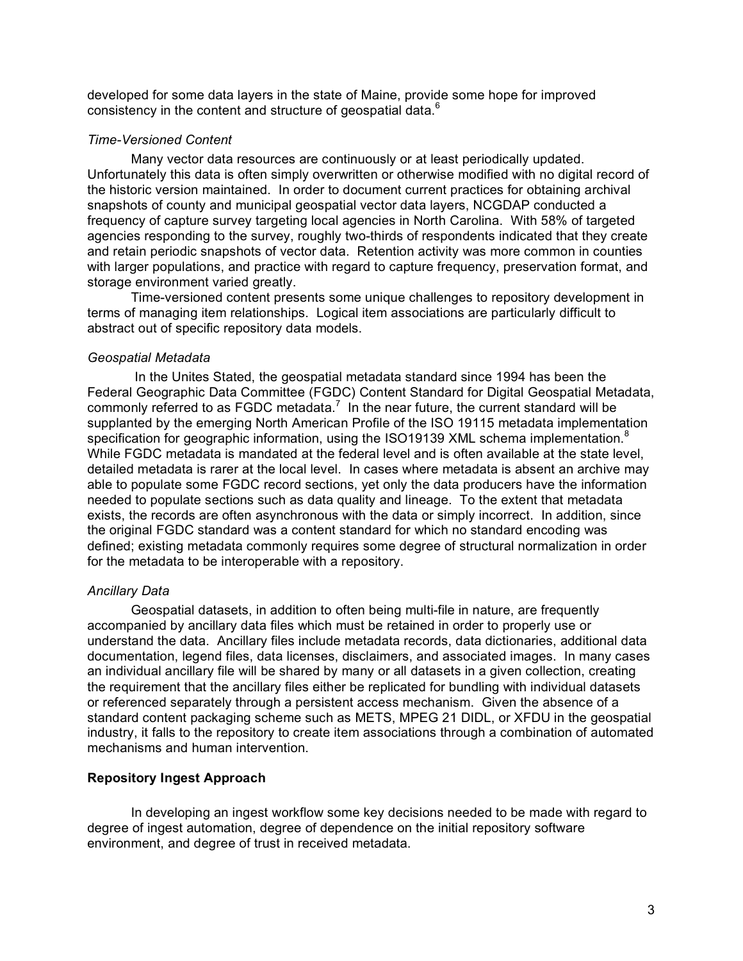developed for some data layers in the state of Maine, provide some hope for improved consistency in the content and structure of geospatial data.<sup>6</sup>

## *Time-Versioned Content*

Many vector data resources are continuously or at least periodically updated. Unfortunately this data is often simply overwritten or otherwise modified with no digital record of the historic version maintained. In order to document current practices for obtaining archival snapshots of county and municipal geospatial vector data layers, NCGDAP conducted a frequency of capture survey targeting local agencies in North Carolina. With 58% of targeted agencies responding to the survey, roughly two-thirds of respondents indicated that they create and retain periodic snapshots of vector data. Retention activity was more common in counties with larger populations, and practice with regard to capture frequency, preservation format, and storage environment varied greatly.

Time-versioned content presents some unique challenges to repository development in terms of managing item relationships. Logical item associations are particularly difficult to abstract out of specific repository data models.

## *Geospatial Metadata*

In the Unites Stated, the geospatial metadata standard since 1994 has been the Federal Geographic Data Committee (FGDC) Content Standard for Digital Geospatial Metadata, commonly referred to as FGDC metadata.<sup>7</sup> In the near future, the current standard will be supplanted by the emerging North American Profile of the ISO 19115 metadata implementation specification for geographic information, using the ISO19139 XML schema implementation.<sup>8</sup> While FGDC metadata is mandated at the federal level and is often available at the state level, detailed metadata is rarer at the local level. In cases where metadata is absent an archive may able to populate some FGDC record sections, yet only the data producers have the information needed to populate sections such as data quality and lineage. To the extent that metadata exists, the records are often asynchronous with the data or simply incorrect. In addition, since the original FGDC standard was a content standard for which no standard encoding was defined; existing metadata commonly requires some degree of structural normalization in order for the metadata to be interoperable with a repository.

# *Ancillary Data*

Geospatial datasets, in addition to often being multi-file in nature, are frequently accompanied by ancillary data files which must be retained in order to properly use or understand the data. Ancillary files include metadata records, data dictionaries, additional data documentation, legend files, data licenses, disclaimers, and associated images. In many cases an individual ancillary file will be shared by many or all datasets in a given collection, creating the requirement that the ancillary files either be replicated for bundling with individual datasets or referenced separately through a persistent access mechanism. Given the absence of a standard content packaging scheme such as METS, MPEG 21 DIDL, or XFDU in the geospatial industry, it falls to the repository to create item associations through a combination of automated mechanisms and human intervention.

# **Repository Ingest Approach**

In developing an ingest workflow some key decisions needed to be made with regard to degree of ingest automation, degree of dependence on the initial repository software environment, and degree of trust in received metadata.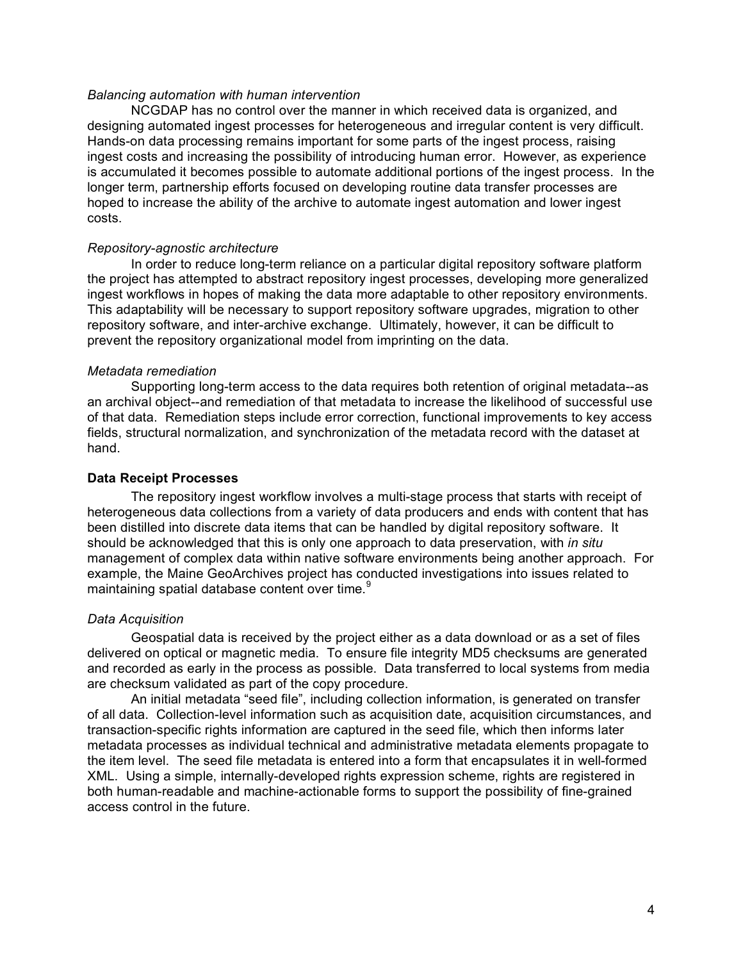#### *Balancing automation with human intervention*

NCGDAP has no control over the manner in which received data is organized, and designing automated ingest processes for heterogeneous and irregular content is very difficult. Hands-on data processing remains important for some parts of the ingest process, raising ingest costs and increasing the possibility of introducing human error. However, as experience is accumulated it becomes possible to automate additional portions of the ingest process. In the longer term, partnership efforts focused on developing routine data transfer processes are hoped to increase the ability of the archive to automate ingest automation and lower ingest costs.

### *Repository-agnostic architecture*

In order to reduce long-term reliance on a particular digital repository software platform the project has attempted to abstract repository ingest processes, developing more generalized ingest workflows in hopes of making the data more adaptable to other repository environments. This adaptability will be necessary to support repository software upgrades, migration to other repository software, and inter-archive exchange. Ultimately, however, it can be difficult to prevent the repository organizational model from imprinting on the data.

#### *Metadata remediation*

Supporting long-term access to the data requires both retention of original metadata--as an archival object--and remediation of that metadata to increase the likelihood of successful use of that data. Remediation steps include error correction, functional improvements to key access fields, structural normalization, and synchronization of the metadata record with the dataset at hand.

### **Data Receipt Processes**

The repository ingest workflow involves a multi-stage process that starts with receipt of heterogeneous data collections from a variety of data producers and ends with content that has been distilled into discrete data items that can be handled by digital repository software. It should be acknowledged that this is only one approach to data preservation, with *in situ* management of complex data within native software environments being another approach. For example, the Maine GeoArchives project has conducted investigations into issues related to maintaining spatial database content over time.<sup>9</sup>

### *Data Acquisition*

Geospatial data is received by the project either as a data download or as a set of files delivered on optical or magnetic media. To ensure file integrity MD5 checksums are generated and recorded as early in the process as possible. Data transferred to local systems from media are checksum validated as part of the copy procedure.

An initial metadata "seed file", including collection information, is generated on transfer of all data. Collection-level information such as acquisition date, acquisition circumstances, and transaction-specific rights information are captured in the seed file, which then informs later metadata processes as individual technical and administrative metadata elements propagate to the item level. The seed file metadata is entered into a form that encapsulates it in well-formed XML. Using a simple, internally-developed rights expression scheme, rights are registered in both human-readable and machine-actionable forms to support the possibility of fine-grained access control in the future.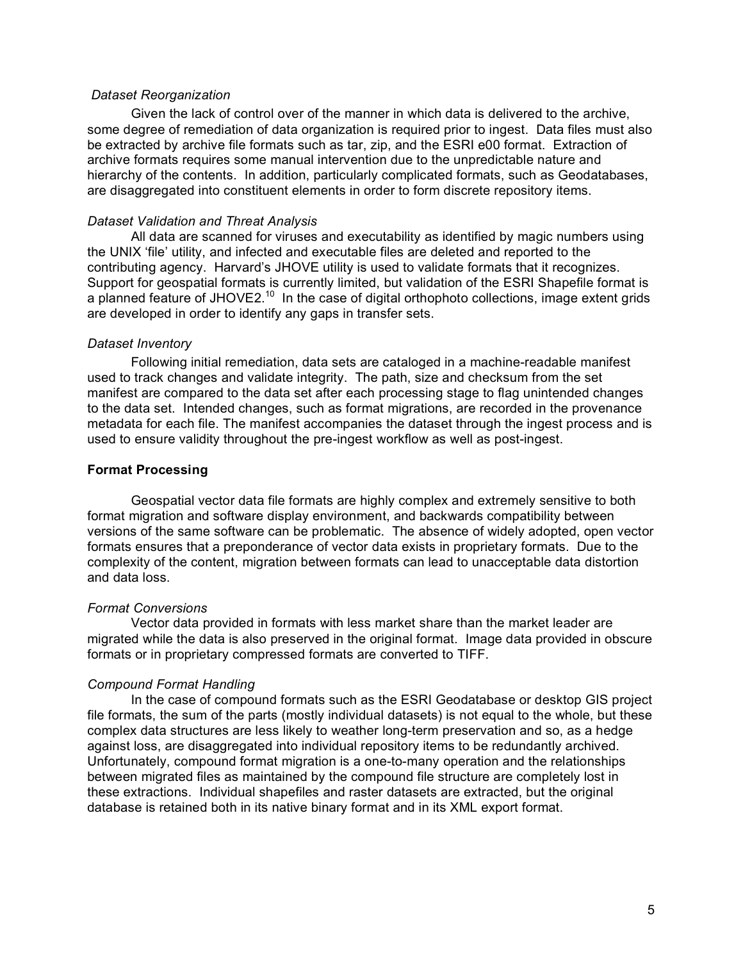### *Dataset Reorganization*

Given the lack of control over of the manner in which data is delivered to the archive, some degree of remediation of data organization is required prior to ingest. Data files must also be extracted by archive file formats such as tar, zip, and the ESRI e00 format. Extraction of archive formats requires some manual intervention due to the unpredictable nature and hierarchy of the contents. In addition, particularly complicated formats, such as Geodatabases, are disaggregated into constituent elements in order to form discrete repository items.

### *Dataset Validation and Threat Analysis*

All data are scanned for viruses and executability as identified by magic numbers using the UNIX 'file' utility, and infected and executable files are deleted and reported to the contributing agency. Harvard's JHOVE utility is used to validate formats that it recognizes. Support for geospatial formats is currently limited, but validation of the ESRI Shapefile format is a planned feature of JHOVE2.<sup>10</sup> In the case of digital orthophoto collections, image extent grids are developed in order to identify any gaps in transfer sets.

#### *Dataset Inventory*

Following initial remediation, data sets are cataloged in a machine-readable manifest used to track changes and validate integrity. The path, size and checksum from the set manifest are compared to the data set after each processing stage to flag unintended changes to the data set. Intended changes, such as format migrations, are recorded in the provenance metadata for each file. The manifest accompanies the dataset through the ingest process and is used to ensure validity throughout the pre-ingest workflow as well as post-ingest.

### **Format Processing**

Geospatial vector data file formats are highly complex and extremely sensitive to both format migration and software display environment, and backwards compatibility between versions of the same software can be problematic. The absence of widely adopted, open vector formats ensures that a preponderance of vector data exists in proprietary formats. Due to the complexity of the content, migration between formats can lead to unacceptable data distortion and data loss.

### *Format Conversions*

Vector data provided in formats with less market share than the market leader are migrated while the data is also preserved in the original format. Image data provided in obscure formats or in proprietary compressed formats are converted to TIFF.

### *Compound Format Handling*

In the case of compound formats such as the ESRI Geodatabase or desktop GIS project file formats, the sum of the parts (mostly individual datasets) is not equal to the whole, but these complex data structures are less likely to weather long-term preservation and so, as a hedge against loss, are disaggregated into individual repository items to be redundantly archived. Unfortunately, compound format migration is a one-to-many operation and the relationships between migrated files as maintained by the compound file structure are completely lost in these extractions. Individual shapefiles and raster datasets are extracted, but the original database is retained both in its native binary format and in its XML export format.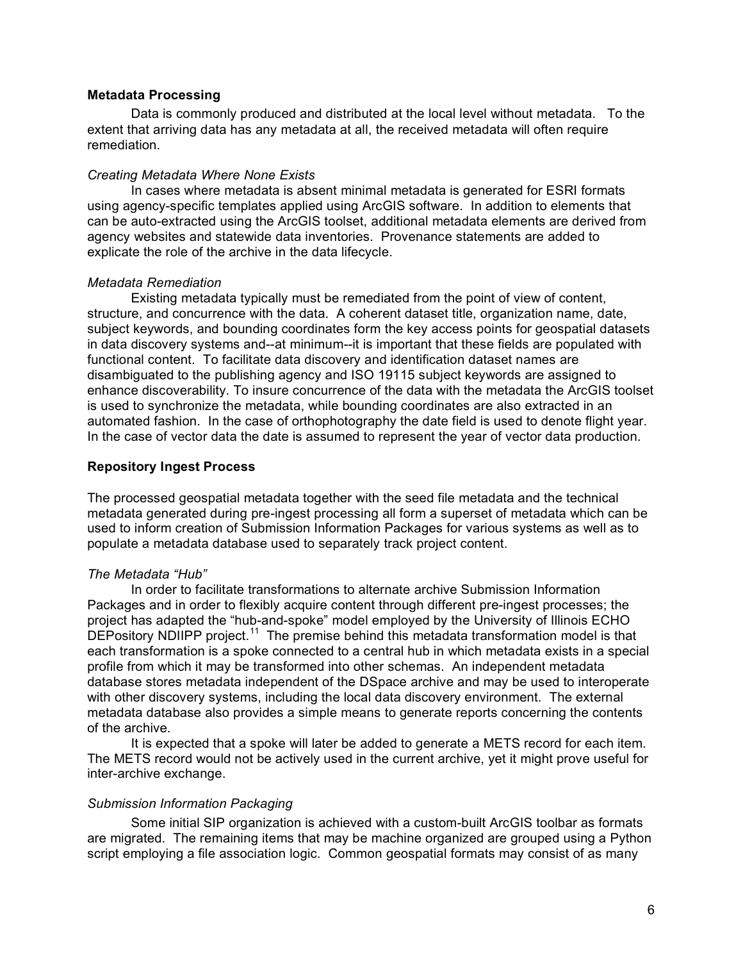## **Metadata Processing**

Data is commonly produced and distributed at the local level without metadata. To the extent that arriving data has any metadata at all, the received metadata will often require remediation.

### *Creating Metadata Where None Exists*

In cases where metadata is absent minimal metadata is generated for ESRI formats using agency-specific templates applied using ArcGIS software. In addition to elements that can be auto-extracted using the ArcGIS toolset, additional metadata elements are derived from agency websites and statewide data inventories. Provenance statements are added to explicate the role of the archive in the data lifecycle.

#### *Metadata Remediation*

Existing metadata typically must be remediated from the point of view of content, structure, and concurrence with the data. A coherent dataset title, organization name, date, subject keywords, and bounding coordinates form the key access points for geospatial datasets in data discovery systems and--at minimum--it is important that these fields are populated with functional content. To facilitate data discovery and identification dataset names are disambiguated to the publishing agency and ISO 19115 subject keywords are assigned to enhance discoverability. To insure concurrence of the data with the metadata the ArcGIS toolset is used to synchronize the metadata, while bounding coordinates are also extracted in an automated fashion. In the case of orthophotography the date field is used to denote flight year. In the case of vector data the date is assumed to represent the year of vector data production.

### **Repository Ingest Process**

The processed geospatial metadata together with the seed file metadata and the technical metadata generated during pre-ingest processing all form a superset of metadata which can be used to inform creation of Submission Information Packages for various systems as well as to populate a metadata database used to separately track project content.

### *The Metadata "Hub"*

In order to facilitate transformations to alternate archive Submission Information Packages and in order to flexibly acquire content through different pre-ingest processes; the project has adapted the "hub-and-spoke" model employed by the University of Illinois ECHO DEPository NDIIPP project.<sup>11</sup> The premise behind this metadata transformation model is that each transformation is a spoke connected to a central hub in which metadata exists in a special profile from which it may be transformed into other schemas. An independent metadata database stores metadata independent of the DSpace archive and may be used to interoperate with other discovery systems, including the local data discovery environment. The external metadata database also provides a simple means to generate reports concerning the contents of the archive.

It is expected that a spoke will later be added to generate a METS record for each item. The METS record would not be actively used in the current archive, yet it might prove useful for inter-archive exchange.

## *Submission Information Packaging*

Some initial SIP organization is achieved with a custom-built ArcGIS toolbar as formats are migrated. The remaining items that may be machine organized are grouped using a Python script employing a file association logic. Common geospatial formats may consist of as many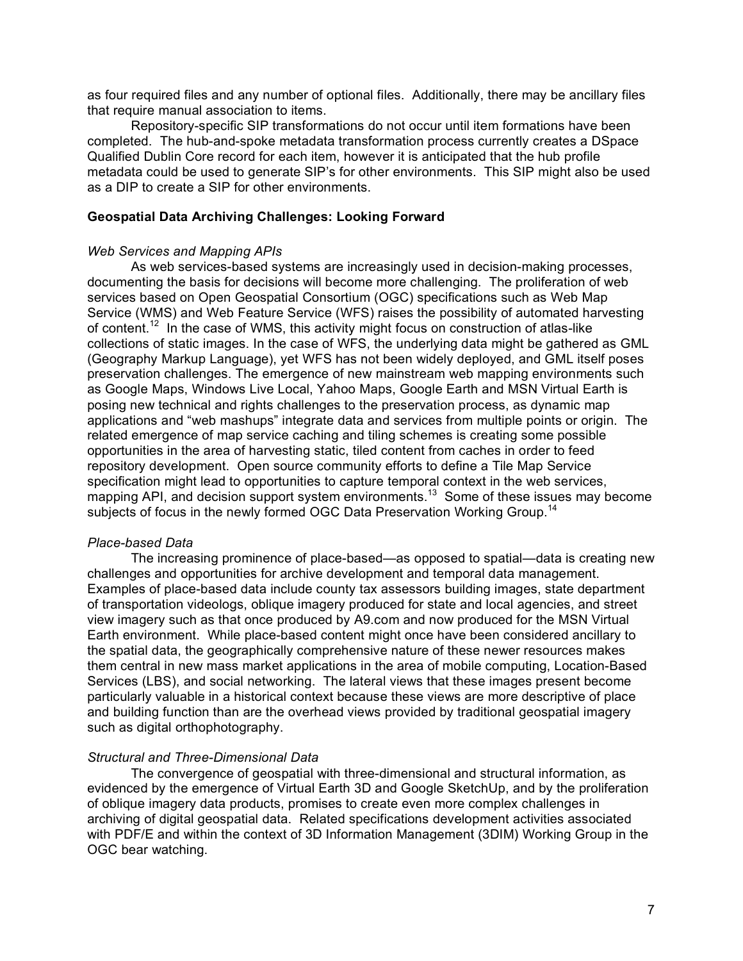as four required files and any number of optional files. Additionally, there may be ancillary files that require manual association to items.

Repository-specific SIP transformations do not occur until item formations have been completed. The hub-and-spoke metadata transformation process currently creates a DSpace Qualified Dublin Core record for each item, however it is anticipated that the hub profile metadata could be used to generate SIP's for other environments. This SIP might also be used as a DIP to create a SIP for other environments.

#### **Geospatial Data Archiving Challenges: Looking Forward**

#### *Web Services and Mapping APIs*

As web services-based systems are increasingly used in decision-making processes, documenting the basis for decisions will become more challenging. The proliferation of web services based on Open Geospatial Consortium (OGC) specifications such as Web Map Service (WMS) and Web Feature Service (WFS) raises the possibility of automated harvesting of content.<sup>12</sup> In the case of WMS, this activity might focus on construction of atlas-like collections of static images. In the case of WFS, the underlying data might be gathered as GML (Geography Markup Language), yet WFS has not been widely deployed, and GML itself poses preservation challenges. The emergence of new mainstream web mapping environments such as Google Maps, Windows Live Local, Yahoo Maps, Google Earth and MSN Virtual Earth is posing new technical and rights challenges to the preservation process, as dynamic map applications and "web mashups" integrate data and services from multiple points or origin. The related emergence of map service caching and tiling schemes is creating some possible opportunities in the area of harvesting static, tiled content from caches in order to feed repository development. Open source community efforts to define a Tile Map Service specification might lead to opportunities to capture temporal context in the web services, mapping API, and decision support system environments.<sup>13</sup> Some of these issues may become subjects of focus in the newly formed OGC Data Preservation Working Group.<sup>14</sup>

### *Place-based Data*

The increasing prominence of place-based—as opposed to spatial—data is creating new challenges and opportunities for archive development and temporal data management. Examples of place-based data include county tax assessors building images, state department of transportation videologs, oblique imagery produced for state and local agencies, and street view imagery such as that once produced by A9.com and now produced for the MSN Virtual Earth environment. While place-based content might once have been considered ancillary to the spatial data, the geographically comprehensive nature of these newer resources makes them central in new mass market applications in the area of mobile computing, Location-Based Services (LBS), and social networking. The lateral views that these images present become particularly valuable in a historical context because these views are more descriptive of place and building function than are the overhead views provided by traditional geospatial imagery such as digital orthophotography.

### *Structural and Three-Dimensional Data*

The convergence of geospatial with three-dimensional and structural information, as evidenced by the emergence of Virtual Earth 3D and Google SketchUp, and by the proliferation of oblique imagery data products, promises to create even more complex challenges in archiving of digital geospatial data. Related specifications development activities associated with PDF/E and within the context of 3D Information Management (3DIM) Working Group in the OGC bear watching.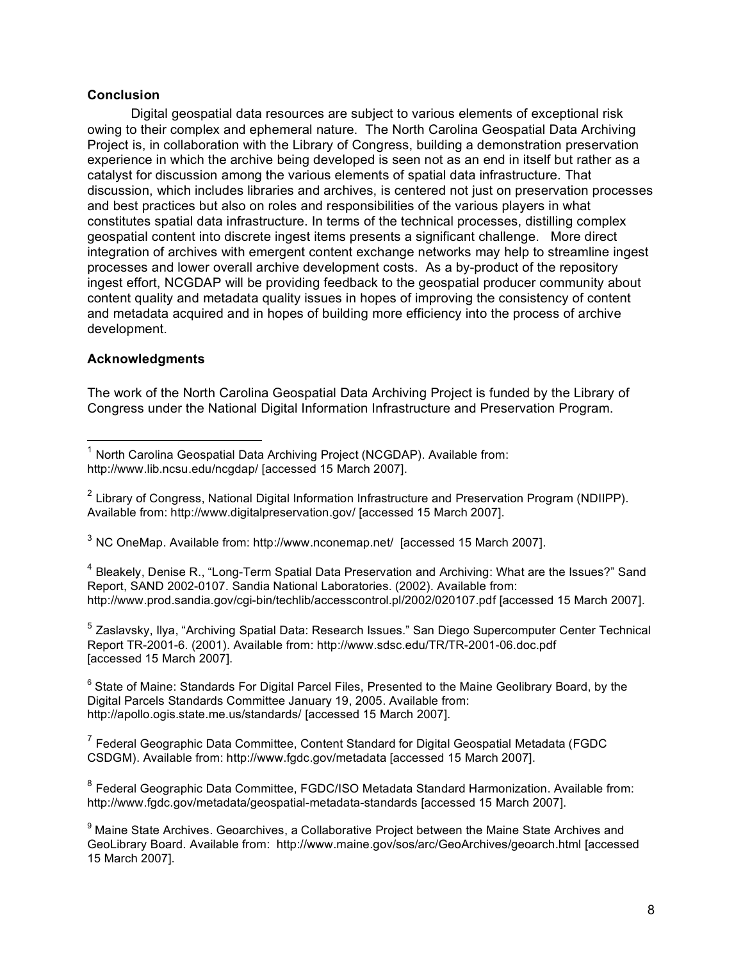## **Conclusion**

Digital geospatial data resources are subject to various elements of exceptional risk owing to their complex and ephemeral nature. The North Carolina Geospatial Data Archiving Project is, in collaboration with the Library of Congress, building a demonstration preservation experience in which the archive being developed is seen not as an end in itself but rather as a catalyst for discussion among the various elements of spatial data infrastructure. That discussion, which includes libraries and archives, is centered not just on preservation processes and best practices but also on roles and responsibilities of the various players in what constitutes spatial data infrastructure. In terms of the technical processes, distilling complex geospatial content into discrete ingest items presents a significant challenge. More direct integration of archives with emergent content exchange networks may help to streamline ingest processes and lower overall archive development costs. As a by-product of the repository ingest effort, NCGDAP will be providing feedback to the geospatial producer community about content quality and metadata quality issues in hopes of improving the consistency of content and metadata acquired and in hopes of building more efficiency into the process of archive development.

# **Acknowledgments**

The work of the North Carolina Geospatial Data Archiving Project is funded by the Library of Congress under the National Digital Information Infrastructure and Preservation Program.

<sup>3</sup> NC OneMap. Available from: http://www.nconemap.net/ [accessed 15 March 2007].

<sup>4</sup> Bleakely, Denise R., "Long-Term Spatial Data Preservation and Archiving: What are the Issues?" Sand Report, SAND 2002-0107. Sandia National Laboratories. (2002). Available from: http://www.prod.sandia.gov/cgi-bin/techlib/accesscontrol.pl/2002/020107.pdf [accessed 15 March 2007].

<sup>5</sup> Zaslavsky, Ilya, "Archiving Spatial Data: Research Issues." San Diego Supercomputer Center Technical Report TR-2001-6. (2001). Available from: http://www.sdsc.edu/TR/TR-2001-06.doc.pdf [accessed 15 March 2007].

 $6$  State of Maine: Standards For Digital Parcel Files, Presented to the Maine Geolibrary Board, by the Digital Parcels Standards Committee January 19, 2005. Available from: http://apollo.ogis.state.me.us/standards/ [accessed 15 March 2007].

 $7$  Federal Geographic Data Committee, Content Standard for Digital Geospatial Metadata (FGDC CSDGM). Available from: http://www.fgdc.gov/metadata [accessed 15 March 2007].

<sup>8</sup> Federal Geographic Data Committee, FGDC/ISO Metadata Standard Harmonization. Available from: http://www.fgdc.gov/metadata/geospatial-metadata-standards [accessed 15 March 2007].

 $1$  North Carolina Geospatial Data Archiving Project (NCGDAP). Available from: http://www.lib.ncsu.edu/ncgdap/ [accessed 15 March 2007].

<sup>&</sup>lt;sup>2</sup> Library of Congress, National Digital Information Infrastructure and Preservation Program (NDIIPP). Available from: http://www.digitalpreservation.gov/ [accessed 15 March 2007].

<sup>&</sup>lt;sup>9</sup> Maine State Archives. Geoarchives, a Collaborative Project between the Maine State Archives and GeoLibrary Board. Available from: http://www.maine.gov/sos/arc/GeoArchives/geoarch.html [accessed 15 March 2007].